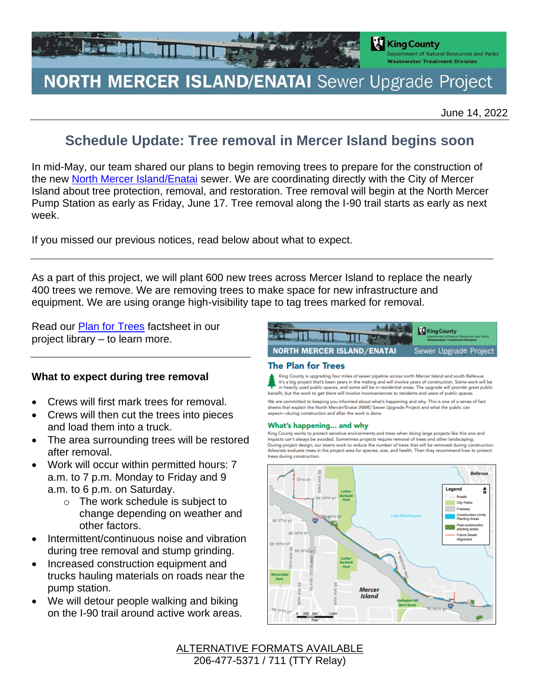

# **NORTH MERCER ISLAND/ENATAI** Sewer Upgrade Project

June 14, 2022

# **Schedule Update: Tree removal in Mercer Island begins soon**

In mid-May, our team shared our plans to begin removing trees to prepare for the construction of the new [North Mercer Island/Enatai](https://kingcounty.gov/depts/dnrp/wtd/capital-projects/active/north-mercer-island-enatai-sewer-upgrade.aspx) sewer. We are coordinating directly with the City of Mercer Island about tree protection, removal, and restoration. Tree removal will begin at the North Mercer Pump Station as early as Friday, June 17. Tree removal along the I-90 trail starts as early as next week.

If you missed our previous notices, read below about what to expect.

As a part of this project, we will plant 600 new trees across Mercer Island to replace the nearly 400 trees we remove. We are removing trees to make space for new infrastructure and equipment. We are using orange high-visibility tape to tag trees marked for removal.

Read our [Plan for Trees](https://kingcounty.gov/~/media/depts/dnrp/wtd/capital-projects/NMIEnatai/fact-sheets/2112_nme_tree_fs.ashx?la=en) factsheet in our project library – to learn more.

### **What to expect during tree removal**

- Crews will first mark trees for removal.
- Crews will then cut the trees into pieces and load them into a truck.
- The area surrounding trees will be restored after removal.
- Work will occur within permitted hours: 7 a.m. to 7 p.m. Monday to Friday and 9 a.m. to 6 p.m. on Saturday.
	- o The work schedule is subject to change depending on weather and other factors.
- Intermittent/continuous noise and vibration during tree removal and stump grinding.
- Increased construction equipment and trucks hauling materials on roads near the pump station.
- We will detour people walking and biking on the I-90 trail around active work areas.



#### **The Plan for Trees**

King County is upgrading four miles of sewer pipeline across north Mercer Island and south Bellevue.<br>It's a big project that's been years in the making and will involve years of construction. Some work will be in heavily used public spaces, and some will be in residential areas. The upgrade will provide great public<br>benefit, but the work to get there will involve inconveniences to residents and users of public spaces.

We are committed to keeping you informed about what's happening and why. This is one of a series of fact<br>sheets that explain the North Mercer/Enatai (NME) Sewer Upgrade Project and what the public can expect-during construction and after the work is done.

#### What's happening... and why

King County works to protect sensitive environments and trees when doing large projects like this one and impacts can't always be avoided. Sometimes projects require removal of trees and other landscaping. During project design, our teams work to reduce the number of trees that will be removed during construction Arborists evaluate trees in the project area for species, size, and health. Then they recommend how to protect trees during construction.



ALTERNATIVE FORMATS AVAILABLE 206-477-5371 / 711 (TTY Relay)